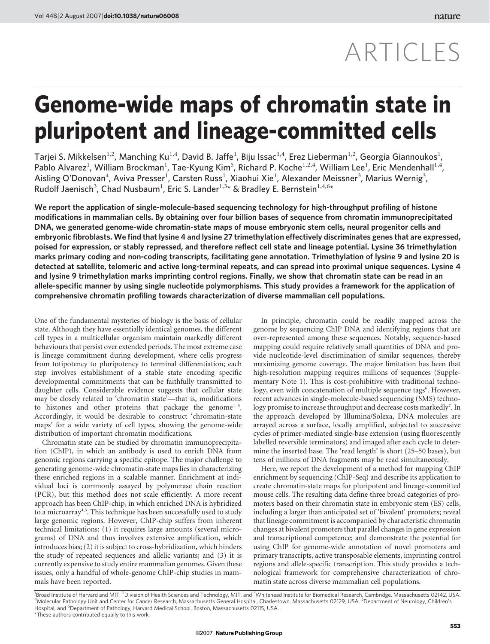# ARTICLES

## Genome-wide maps of chromatin state in pluripotent and lineage-committed cells

Tarjei S. Mikkelsen $^{1,2}$ , Manching Ku $^{1,4}$ , David B. Jaffe $^1$ , Biju Issac $^{1,4}$ , Erez Lieberman $^{1,2}$ , Georgia Giannoukos $^1$ , Pablo Alvarez<sup>1</sup>, William Brockman<sup>1</sup>, Tae-Kyung Kim<sup>5</sup>, Richard P. Koche<sup>1,2,4</sup>, William Lee<sup>1</sup>, Eric Mendenhall<sup>1,4</sup>, Aisling O'Donovan $^4$ , Aviva Presser $^1$ , Carsten Russ $^1$ , Xiaohui Xie $^1$ , Alexander Meissner $^3$ , Marius Wernig $^3$ , Rudolf Jaenisch<sup>3</sup>, Chad Nusbaum<sup>1</sup>, Eric S. Lander<sup>1,3</sup>\* & Bradley E. Bernstein<sup>1,4,6</sup>\*

We report the application of single-molecule-based sequencing technology for high-throughput profiling of histone modifications in mammalian cells. By obtaining over four billion bases of sequence from chromatin immunoprecipitated DNA, we generated genome-wide chromatin-state maps of mouse embryonic stem cells, neural progenitor cells and embryonic fibroblasts. We find that lysine 4 and lysine 27 trimethylation effectively discriminates genes that are expressed, poised for expression, or stably repressed, and therefore reflect cell state and lineage potential. Lysine 36 trimethylation marks primary coding and non-coding transcripts, facilitating gene annotation. Trimethylation of lysine 9 and lysine 20 is detected at satellite, telomeric and active long-terminal repeats, and can spread into proximal unique sequences. Lysine 4 and lysine 9 trimethylation marks imprinting control regions. Finally, we show that chromatin state can be read in an allele-specific manner by using single nucleotide polymorphisms. This study provides a framework for the application of comprehensive chromatin profiling towards characterization of diverse mammalian cell populations.

One of the fundamental mysteries of biology is the basis of cellular state. Although they have essentially identical genomes, the different cell types in a multicellular organism maintain markedly different behaviours that persist over extended periods. The most extreme case is lineage commitment during development, where cells progress from totipotency to pluripotency to terminal differentiation; each step involves establishment of a stable state encoding specific developmental commitments that can be faithfully transmitted to daughter cells. Considerable evidence suggests that cellular state may be closely related to 'chromatin state'—that is, modifications to histones and other proteins that package the genome<sup>1-3</sup>. Accordingly, it would be desirable to construct 'chromatin-state maps' for a wide variety of cell types, showing the genome-wide distribution of important chromatin modifications.

Chromatin state can be studied by chromatin immunoprecipitation (ChIP), in which an antibody is used to enrich DNA from genomic regions carrying a specific epitope. The major challenge to generating genome-wide chromatin-state maps lies in characterizing these enriched regions in a scalable manner. Enrichment at individual loci is commonly assayed by polymerase chain reaction (PCR), but this method does not scale efficiently. A more recent approach has been ChIP-chip, in which enriched DNA is hybridized to a microarray<sup>4,5</sup>. This technique has been successfully used to study large genomic regions. However, ChIP-chip suffers from inherent technical limitations: (1) it requires large amounts (several micrograms) of DNA and thus involves extensive amplification, which introduces bias; (2) it is subject to cross-hybridization, which hinders the study of repeated sequences and allelic variants; and (3) it is currently expensive to study entire mammalian genomes. Given these issues, only a handful of whole-genome ChIP-chip studies in mammals have been reported.

In principle, chromatin could be readily mapped across the genome by sequencing ChIP DNA and identifying regions that are over-represented among these sequences. Notably, sequence-based mapping could require relatively small quantities of DNA and provide nucleotide-level discrimination of similar sequences, thereby maximizing genome coverage. The major limitation has been that high-resolution mapping requires millions of sequences (Supplementary Note 1). This is cost-prohibitive with traditional technology, even with concatenation of multiple sequence tags<sup>6</sup>. However, recent advances in single-molecule-based sequencing (SMS) technology promise to increase throughput and decrease costs markedly<sup>7</sup>. In the approach developed by Illumina/Solexa, DNA molecules are arrayed across a surface, locally amplified, subjected to successive cycles of primer-mediated single-base extension (using fluorescently labelled reversible terminators) and imaged after each cycle to determine the inserted base. The 'read length' is short (25–50 bases), but tens of millions of DNA fragments may be read simultaneously.

Here, we report the development of a method for mapping ChIP enrichment by sequencing (ChIP-Seq) and describe its application to create chromatin-state maps for pluripotent and lineage-committed mouse cells. The resulting data define three broad categories of promoters based on their chromatin state in embryonic stem (ES) cells, including a larger than anticipated set of 'bivalent' promoters; reveal that lineage commitment is accompanied by characteristic chromatin changes at bivalent promoters that parallel changes in gene expression and transcriptional competence; and demonstrate the potential for using ChIP for genome-wide annotation of novel promoters and primary transcripts, active transposable elements, imprinting control regions and allele-specific transcription. This study provides a technological framework for comprehensive characterization of chromatin state across diverse mammalian cell populations.

\*These authors contributed equally to this work. <sup>1</sup>Broad Institute of Harvard and MIT, <sup>2</sup>Division of Health Sciences and Technology, MIT, and <sup>3</sup>Whitehead Institute for Biomedical Research, Cambridge, Massachusetts 02142, USA.<br><sup>4</sup>Melocular Rathology Unit and Conter for Molecular Pathology Unit and Center for Cancer Research, Massachusetts General Hospital, Charlestown, Massachusetts 02129, USA. <sup>5</sup>Department of Neurology, Children's Hospital, and <sup>6</sup>Department of Pathology, Harvard Medical School, Boston, Massachusetts 02115, USA.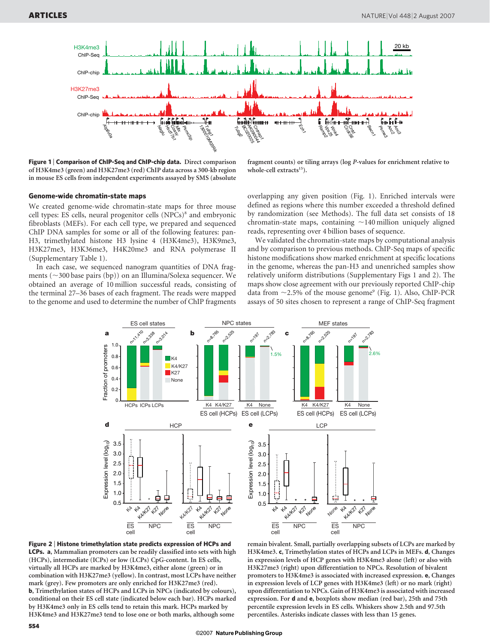

Figure 1 | Comparison of ChIP-Seq and ChIP-chip data. Direct comparison of H3K4me3 (green) and H3K27me3 (red) ChIP data across a 300-kb region in mouse ES cells from independent experiments assayed by SMS (absolute

fragment counts) or tiling arrays (log P-values for enrichment relative to whole-cell extracts $15$ ).

#### Genome-wide chromatin-state maps

We created genome-wide chromatin-state maps for three mouse cell types: ES cells, neural progenitor cells (NPCs)<sup>8</sup> and embryonic fibroblasts (MEFs). For each cell type, we prepared and sequenced ChIP DNA samples for some or all of the following features: pan-H3, trimethylated histone H3 lysine 4 (H3K4me3), H3K9me3, H3K27me3, H3K36me3, H4K20me3 and RNA polymerase II (Supplementary Table 1).

In each case, we sequenced nanogram quantities of DNA fragments ( $\sim$ 300 base pairs (bp)) on an Illumina/Solexa sequencer. We obtained an average of 10 million successful reads, consisting of the terminal 27–36 bases of each fragment. The reads were mapped to the genome and used to determine the number of ChIP fragments

overlapping any given position (Fig. 1). Enriched intervals were defined as regions where this number exceeded a threshold defined by randomization (see Methods). The full data set consists of 18 chromatin-state maps, containing  $\sim$ 140 million uniquely aligned reads, representing over 4 billion bases of sequence.

We validated the chromatin-state maps by computational analysis and by comparison to previous methods. ChIP-Seq maps of specific histone modifications show marked enrichment at specific locations in the genome, whereas the pan-H3 and unenriched samples show relatively uniform distributions (Supplementary Figs 1 and 2). The maps show close agreement with our previously reported ChIP-chip data from  $\sim$ 2.5% of the mouse genome<sup>9</sup> (Fig. 1). Also, ChIP-PCR assays of 50 sites chosen to represent a range of ChIP-Seq fragment



Figure 2 <sup>|</sup> Histone trimethylation state predicts expression of HCPs and LCPs. a, Mammalian promoters can be readily classified into sets with high (HCPs), intermediate (ICPs) or low (LCPs) CpG-content. In ES cells, virtually all HCPs are marked by H3K4me3, either alone (green) or in combination with H3K27me3 (yellow). In contrast, most LCPs have neither mark (grey). Few promoters are only enriched for H3K27me3 (red). b, Trimethylation states of HCPs and LCPs in NPCs (indicated by colours), conditional on their ES cell state (indicated below each bar). HCPs marked by H3K4me3 only in ES cells tend to retain this mark. HCPs marked by H3K4me3 and H3K27me3 tend to lose one or both marks, although some

remain bivalent. Small, partially overlapping subsets of LCPs are marked by H3K4me3. c, Trimethylation states of HCPs and LCPs in MEFs. d, Changes in expression levels of HCP genes with H3K4me3 alone (left) or also with H3K27me3 (right) upon differentiation to NPCs. Resolution of bivalent promoters to H3K4me3 is associated with increased expression. e, Changes in expression levels of LCP genes with H3K4me3 (left) or no mark (right) upon differentiation to NPCs. Gain of H3K4me3 is associated with increased expression. For d and e, boxplots show median (red bar), 25th and 75th percentile expression levels in ES cells. Whiskers show 2.5th and 97.5th percentiles. Asterisks indicate classes with less than 15 genes.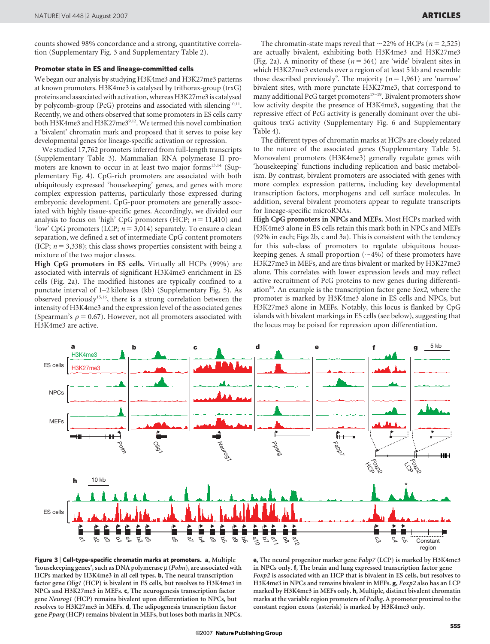counts showed 98% concordance and a strong, quantitative correlation (Supplementary Fig. 3 and Supplementary Table 2).

#### Promoter state in ES and lineage-committed cells

We began our analysis by studying H3K4me3 and H3K27me3 patterns at known promoters. H3K4me3 is catalysed by trithorax-group (trxG) proteins and associated with activation,whereas H3K27me3is catalysed by polycomb-group (PcG) proteins and associated with silencing $10,11$ . Recently, we and others observed that some promoters in ES cells carry both H3K4me3 and H3K27me39,12. We termed this novel combination a 'bivalent' chromatin mark and proposed that it serves to poise key developmental genes for lineage-specific activation or repression.

We studied 17,762 promoters inferred from full-length transcripts (Supplementary Table 3). Mammalian RNA polymerase II promoters are known to occur in at least two major forms<sup>13,14</sup> (Supplementary Fig. 4). CpG-rich promoters are associated with both ubiquitously expressed 'housekeeping' genes, and genes with more complex expression patterns, particularly those expressed during embryonic development. CpG-poor promoters are generally associated with highly tissue-specific genes. Accordingly, we divided our analysis to focus on 'high' CpG promoters (HCP;  $n = 11,410$ ) and 'low' CpG promoters (LCP;  $n = 3,014$ ) separately. To ensure a clean separation, we defined a set of intermediate CpG content promoters (ICP;  $n = 3,338$ ); this class shows properties consistent with being a mixture of the two major classes.

High CpG promoters in ES cells. Virtually all HCPs (99%) are associated with intervals of significant H3K4me3 enrichment in ES cells (Fig. 2a). The modified histones are typically confined to a punctate interval of 1–2 kilobases (kb) (Supplementary Fig. 5). As observed previously15,16, there is a strong correlation between the intensity of H3K4me3 and the expression level of the associated genes (Spearman's  $\rho = 0.67$ ). However, not all promoters associated with H3K4me3 are active.

The chromatin-state maps reveal that  $\sim$  22% of HCPs (n = 2,525) are actually bivalent, exhibiting both H3K4me3 and H3K27me3 (Fig. 2a). A minority of these ( $n = 564$ ) are 'wide' bivalent sites in which H3K27me3 extends over a region of at least 5 kb and resemble those described previously<sup>9</sup>. The majority ( $n = 1,961$ ) are 'narrow' bivalent sites, with more punctate H3K27me3, that correspond to many additional PcG target promoters<sup>17–19</sup>. Bivalent promoters show low activity despite the presence of H3K4me3, suggesting that the repressive effect of PcG activity is generally dominant over the ubiquitous trxG activity (Supplementary Fig. 6 and Supplementary Table 4).

The different types of chromatin marks at HCPs are closely related to the nature of the associated genes (Supplementary Table 5). Monovalent promoters (H3K4me3) generally regulate genes with 'housekeeping' functions including replication and basic metabolism. By contrast, bivalent promoters are associated with genes with more complex expression patterns, including key developmental transcription factors, morphogens and cell surface molecules. In addition, several bivalent promoters appear to regulate transcripts for lineage-specific microRNAs.

High CpG promoters in NPCs and MEFs. Most HCPs marked with H3K4me3 alone in ES cells retain this mark both in NPCs and MEFs (92% in each; Figs 2b, c and 3a). This is consistent with the tendency for this sub-class of promoters to regulate ubiquitous housekeeping genes. A small proportion  $(\sim 4\%)$  of these promoters have H3K27me3 in MEFs, and are thus bivalent or marked by H3K27me3 alone. This correlates with lower expression levels and may reflect active recruitment of PcG proteins to new genes during differentiation<sup>20</sup>. An example is the transcription factor gene  $Sox2$ , where the promoter is marked by H3K4me3 alone in ES cells and NPCs, but H3K27me3 alone in MEFs. Notably, this locus is flanked by CpG islands with bivalent markings in ES cells (see below), suggesting that the locus may be poised for repression upon differentiation.



Figure 3 <sup>|</sup> Cell-type-specific chromatin marks at promoters. a, Multiple 'housekeeping genes', such as DNA polymerase  $\mu$  (Polm), are associated with HCPs marked by H3K4me3 in all cell types. b, The neural transcription factor gene Olig1 (HCP) is bivalent in ES cells, but resolves to H3K4me3 in NPCs and H3K27me3 in MEFs. c, The neurogenesis transcription factor gene Neurog1 (HCP) remains bivalent upon differentiation to NPCs, but resolves to H3K27me3 in MEFs. d, The adipogenesis transcription factor gene Pparg (HCP) remains bivalent in MEFs, but loses both marks in NPCs.

e, The neural progenitor marker gene Fabp7 (LCP) is marked by H3K4me3 in NPCs only. f, The brain and lung expressed transcription factor gene Foxp2 is associated with an HCP that is bivalent in ES cells, but resolves to H3K4me3 in NPCs and remains bivalent in MEFs. g, Foxp2 also has an LCP marked by H3K4me3 in MEFs only. h, Multiple, distinct bivalent chromatin marks at the variable region promoters of Pcdhg. A promoter proximal to the constant region exons (asterisk) is marked by H3K4me3 only.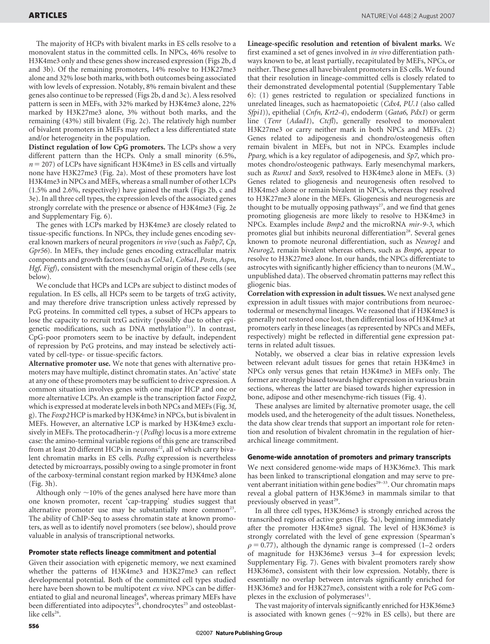The majority of HCPs with bivalent marks in ES cells resolve to a monovalent status in the committed cells. In NPCs, 46% resolve to H3K4me3 only and these genes show increased expression (Figs 2b, d and 3b). Of the remaining promoters, 14% resolve to H3K27me3 alone and 32% lose both marks, with both outcomes being associated with low levels of expression. Notably, 8% remain bivalent and these genes also continue to be repressed (Figs 2b, d and 3c). A less resolved pattern is seen in MEFs, with 32% marked by H3K4me3 alone, 22% marked by H3K27me3 alone, 3% without both marks, and the remaining (43%) still bivalent (Fig. 2c). The relatively high number of bivalent promoters in MEFs may reflect a less differentiated state and/or heterogeneity in the population.

Distinct regulation of low CpG promoters. The LCPs show a very different pattern than the HCPs. Only a small minority (6.5%,  $n = 207$ ) of LCPs have significant H3K4me3 in ES cells and virtually none have H3K27me3 (Fig. 2a). Most of these promoters have lost H3K4me3 in NPCs and MEFs, whereas a small number of other LCPs (1.5% and 2.6%, respectively) have gained the mark (Figs 2b, c and 3e). In all three cell types, the expression levels of the associated genes strongly correlate with the presence or absence of H3K4me3 (Fig. 2e and Supplementary Fig. 6).

The genes with LCPs marked by H3K4me3 are closely related to tissue-specific functions. In NPCs, they include genes encoding several known markers of neural progenitors in vivo (such as Fabp7, Cp, Gpr56). In MEFs, they include genes encoding extracellular matrix components and growth factors (such as Col3a1, Col6a1, Postn, Aspn, Hgf, Figf), consistent with the mesenchymal origin of these cells (see below).

We conclude that HCPs and LCPs are subject to distinct modes of regulation. In ES cells, all HCPs seem to be targets of trxG activity, and may therefore drive transcription unless actively repressed by PcG proteins. In committed cell types, a subset of HCPs appears to lose the capacity to recruit trxG activity (possibly due to other epigenetic modifications, such as DNA methylation<sup>21</sup>). In contrast, CpG-poor promoters seem to be inactive by default, independent of repression by PcG proteins, and may instead be selectively activated by cell-type- or tissue-specific factors.

Alternative promoter use. We note that genes with alternative promoters may have multiple, distinct chromatin states. An 'active' state at any one of these promoters may be sufficient to drive expression. A common situation involves genes with one major HCP and one or more alternative LCPs. An example is the transcription factor Foxp2, which is expressed at moderate levels in both NPCs and MEFs (Fig. 3f, g). The Foxp2 HCP is marked by H3K4me3 in NPCs, but is bivalent in MEFs. However, an alternative LCP is marked by H3K4me3 exclusively in MEFs. The protocadherin- $\gamma$  (*Pcdhg*) locus is a more extreme case: the amino-terminal variable regions of this gene are transcribed from at least 20 different HCPs in neurons<sup>22</sup>, all of which carry bivalent chromatin marks in ES cells. Pcdhg expression is nevertheless detected by microarrays, possibly owing to a single promoter in front of the carboxy-terminal constant region marked by H3K4me3 alone (Fig. 3h).

Although only  $\sim$ 10% of the genes analysed here have more than one known promoter, recent 'cap-trapping' studies suggest that alternative promoter use may be substantially more common<sup>23</sup>. The ability of ChIP-Seq to assess chromatin state at known promoters, as well as to identify novel promoters (see below), should prove valuable in analysis of transcriptional networks.

#### Promoter state reflects lineage commitment and potential

Given their association with epigenetic memory, we next examined whether the patterns of H3K4me3 and H3K27me3 can reflect developmental potential. Both of the committed cell types studied here have been shown to be multipotent ex vivo. NPCs can be differentiated to glial and neuronal lineages<sup>8</sup>, whereas primary MEFs have been differentiated into adipocytes<sup>24</sup>, chondrocytes<sup>25</sup> and osteoblastlike cells $26$ .

Lineage-specific resolution and retention of bivalent marks. We first examined a set of genes involved in in vivo differentiation pathways known to be, at least partially, recapitulated by MEFs, NPCs, or neither. These genes all have bivalent promoters in ES cells. We found that their resolution in lineage-committed cells is closely related to their demonstrated developmental potential (Supplementary Table 6): (1) genes restricted to regulation or specialized functions in unrelated lineages, such as haematopoietic (Cdx4, PU.1 (also called Sfpi1)), epithelial (Cnfn, Krt2-4), endoderm (Gata6, Pdx1) or germ line (Tenr (Adad1), Ctcfl), generally resolved to monovalent H3K27me3 or carry neither mark in both NPCs and MEFs. (2) Genes related to adipogenesis and chondro/osteogenesis often remain bivalent in MEFs, but not in NPCs. Examples include Pparg, which is a key regulator of adipogenesis, and Sp7, which promotes chondro/osteogenic pathways. Early mesenchymal markers, such as Runx1 and Sox9, resolved to H3K4me3 alone in MEFs. (3) Genes related to gliogenesis and neurogenesis often resolved to H3K4me3 alone or remain bivalent in NPCs, whereas they resolved to H3K27me3 alone in the MEFs. Gliogenesis and neurogenesis are thought to be mutually opposing pathways<sup>27</sup>, and we find that genes promoting gliogenesis are more likely to resolve to H3K4me3 in NPCs. Examples include Bmp2 and the microRNA mir-9-3, which promotes glial but inhibits neuronal differentiation<sup>28</sup>. Several genes known to promote neuronal differentiation, such as Neurog1 and Neurog2, remain bivalent whereas others, such as Bmp6, appear to resolve to H3K27me3 alone. In our hands, the NPCs differentiate to astrocytes with significantly higher efficiency than to neurons (M.W., unpublished data). The observed chromatin patterns may reflect this gliogenic bias.

Correlation with expression in adult tissues. We next analysed gene expression in adult tissues with major contributions from neuroectodermal or mesenchymal lineages. We reasoned that if H3K4me3 is generally not restored once lost, then differential loss of H3K4me3 at promoters early in these lineages (as represented by NPCs and MEFs, respectively) might be reflected in differential gene expression patterns in related adult tissues.

Notably, we observed a clear bias in relative expression levels between relevant adult tissues for genes that retain H3K4me3 in NPCs only versus genes that retain H3K4me3 in MEFs only. The former are strongly biased towards higher expression in various brain sections, whereas the latter are biased towards higher expression in bone, adipose and other mesenchyme-rich tissues (Fig. 4).

These analyses are limited by alternative promoter usage, the cell models used, and the heterogeneity of the adult tissues. Nonetheless, the data show clear trends that support an important role for retention and resolution of bivalent chromatin in the regulation of hierarchical lineage commitment.

#### Genome-wide annotation of promoters and primary transcripts

We next considered genome-wide maps of H3K36me3. This mark has been linked to transcriptional elongation and may serve to prevent aberrant initiation within gene bodies<sup>29-33</sup>. Our chromatin maps reveal a global pattern of H3K36me3 in mammals similar to that previously observed in yeast<sup>29</sup>.

In all three cell types, H3K36me3 is strongly enriched across the transcribed regions of active genes (Fig. 5a), beginning immediately after the promoter H3K4me3 signal. The level of H3K36me3 is strongly correlated with the level of gene expression (Spearman's  $\rho = 0.77$ ), although the dynamic range is compressed (1–2 orders of magnitude for H3K36me3 versus 3–4 for expression levels; Supplementary Fig. 7). Genes with bivalent promoters rarely show H3K36me3, consistent with their low expression. Notably, there is essentially no overlap between intervals significantly enriched for H3K36me3 and for H3K27me3, consistent with a role for PcG complexes in the exclusion of polymerases $^{11}$ .

The vast majority of intervals significantly enriched for H3K36me3 is associated with known genes ( $\sim$ 92% in ES cells), but there are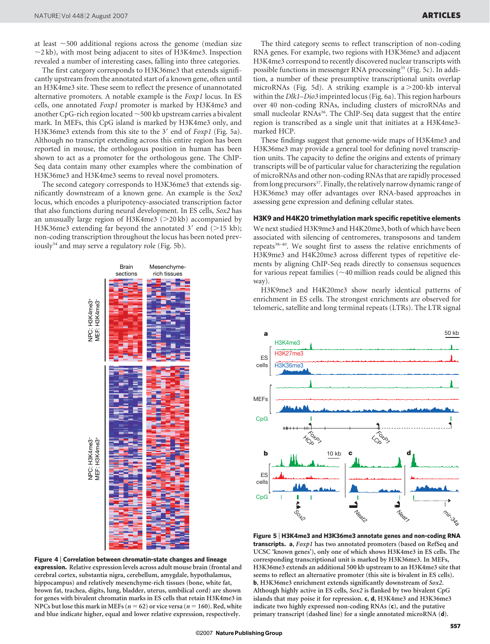at least  $\sim$  500 additional regions across the genome (median size  $\sim$ 2 kb), with most being adjacent to sites of H3K4me3. Inspection revealed a number of interesting cases, falling into three categories.

The first category corresponds to H3K36me3 that extends significantly upstream from the annotated start of a known gene, often until an H3K4me3 site. These seem to reflect the presence of unannotated alternative promoters. A notable example is the Foxp1 locus. In ES cells, one annotated Foxp1 promoter is marked by H3K4me3 and another CpG-rich region located  $\sim$  500 kb upstream carries a bivalent mark. In MEFs, this CpG island is marked by H3K4me3 only, and H3K36me3 extends from this site to the 3' end of Foxp1 (Fig. 5a). Although no transcript extending across this entire region has been reported in mouse, the orthologous position in human has been shown to act as a promoter for the orthologous gene. The ChIP-Seq data contain many other examples where the combination of H3K36me3 and H3K4me3 seems to reveal novel promoters.

The second category corresponds to H3K36me3 that extends significantly downstream of a known gene. An example is the Sox2 locus, which encodes a pluripotency-associated transcription factor that also functions during neural development. In ES cells, Sox2 has an unusually large region of H3K4me3 ( $>$ 20 kb) accompanied by H3K36me3 extending far beyond the annotated  $3'$  end ( $>15$  kb); non-coding transcription throughout the locus has been noted previously $34$  and may serve a regulatory role (Fig. 5b).



Figure 4 <sup>|</sup> Correlation between chromatin-state changes and lineage expression. Relative expression levels across adult mouse brain (frontal and cerebral cortex, substantia nigra, cerebellum, amygdale, hypothalamus, hippocampus) and relatively mesenchyme-rich tissues (bone, white fat, brown fat, trachea, digits, lung, bladder, uterus, umbilical cord) are shown for genes with bivalent chromatin marks in ES cells that retain H3K4me3 in NPCs but lose this mark in MEFs ( $n = 62$ ) or vice versa ( $n = 160$ ). Red, white and blue indicate higher, equal and lower relative expression, respectively.

The third category seems to reflect transcription of non-coding RNA genes. For example, two regions with H3K36me3 and adjacent H3K4me3 correspond to recently discovered nuclear transcripts with possible functions in messenger RNA processing<sup>35</sup> (Fig. 5c). In addition, a number of these presumptive transcriptional units overlap microRNAs (Fig. 5d). A striking example is  $a > 200$ -kb interval within the *Dlk1–Dio3* imprinted locus (Fig. 6a). This region harbours over 40 non-coding RNAs, including clusters of microRNAs and small nucleolar RNAs<sup>36</sup>. The ChIP-Seq data suggest that the entire region is transcribed as a single unit that initiates at a H3K4me3 marked HCP.

These findings suggest that genome-wide maps of H3K4me3 and H3K36me3 may provide a general tool for defining novel transcription units. The capacity to define the origins and extents of primary transcripts will be of particular value for characterizing the regulation of microRNAs and other non-coding RNAs that are rapidly processed from long precursors<sup>37</sup>. Finally, the relatively narrow dynamic range of H3K36me3 may offer advantages over RNA-based approaches in assessing gene expression and defining cellular states.

### H3K9 and H4K20 trimethylation mark specific repetitive elements

We next studied H3K9me3 and H4K20me3, both of which have been associated with silencing of centromeres, transposons and tandem repeats<sup>38-40</sup>. We sought first to assess the relative enrichments of H3K9me3 and H4K20me3 across different types of repetitive elements by aligning ChIP-Seq reads directly to consensus sequences for various repeat families ( $\sim$ 40 million reads could be aligned this way).

H3K9me3 and H4K20me3 show nearly identical patterns of enrichment in ES cells. The strongest enrichments are observed for telomeric, satellite and long terminal repeats (LTRs). The LTR signal



Figure 5 <sup>|</sup> H3K4me3 and H3K36me3 annotate genes and non-coding RNA transcripts. a, Foxp1 has two annotated promoters (based on RefSeq and UCSC 'known genes'), only one of which shows H3K4me3 in ES cells. The corresponding transcriptional unit is marked by H3K36me3. In MEFs, H3K36me3 extends an additional 500 kb upstream to an H3K4me3 site that seems to reflect an alternative promoter (this site is bivalent in ES cells). b, H3K36me3 enrichment extends significantly downstream of Sox2. Although highly active in ES cells, Sox2 is flanked by two bivalent CpG islands that may poise it for repression. c, d, H3K4me3 and H3K36me3 indicate two highly expressed non-coding RNAs (c), and the putative primary transcript (dashed line) for a single annotated microRNA (d).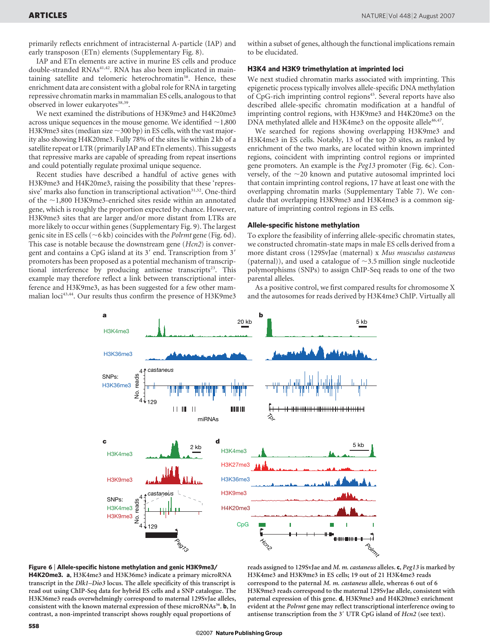primarily reflects enrichment of intracisternal A-particle (IAP) and early transposon (ETn) elements (Supplementary Fig. 8).

IAP and ETn elements are active in murine ES cells and produce double-stranded RNAs<sup>41,42</sup>. RNA has also been implicated in maintaining satellite and telomeric heterochromatin<sup>38</sup>. Hence, these enrichment data are consistent with a global role for RNA in targeting repressive chromatin marks in mammalian ES cells, analogous to that observed in lower eukaryotes<sup>38,39</sup>.

We next examined the distributions of H3K9me3 and H4K20me3 across unique sequences in the mouse genome. We identified  $\sim$ 1,800 H3K9me3 sites (median size  $\sim$ 300 bp) in ES cells, with the vast majority also showing H4K20me3. Fully 78% of the sites lie within 2 kb of a satellite repeat or LTR (primarily IAP and ETn elements). This suggests that repressive marks are capable of spreading from repeat insertions and could potentially regulate proximal unique sequence.

Recent studies have described a handful of active genes with H3K9me3 and H4K20me3, raising the possibility that these 'repressive' marks also function in transcriptional activation<sup>31,32</sup>. One-third of the  $\sim$ 1,800 H3K9me3-enriched sites reside within an annotated gene, which is roughly the proportion expected by chance. However, H3K9me3 sites that are larger and/or more distant from LTRs are more likely to occur within genes (Supplementary Fig. 9). The largest genic site in ES cells ( $\sim$ 6 kb) coincides with the *Polrmt* gene (Fig. 6d). This case is notable because the downstream gene (Hcn2) is convergent and contains a CpG island at its 3' end. Transcription from 3' promoters has been proposed as a potential mechanism of transcriptional interference by producing antisense transcripts<sup>23</sup>. This example may therefore reflect a link between transcriptional interference and H3K9me3, as has been suggested for a few other mammalian loci<sup>43,44</sup>. Our results thus confirm the presence of H3K9me3 within a subset of genes, although the functional implications remain to be elucidated.

#### H3K4 and H3K9 trimethylation at imprinted loci

We next studied chromatin marks associated with imprinting. This epigenetic process typically involves allele-specific DNA methylation of CpG-rich imprinting control regions<sup>45</sup>. Several reports have also described allele-specific chromatin modification at a handful of imprinting control regions, with H3K9me3 and H4K20me3 on the DNA methylated allele and H3K4me3 on the opposite allele<sup>46,47</sup>.

We searched for regions showing overlapping H3K9me3 and H3K4me3 in ES cells. Notably, 13 of the top 20 sites, as ranked by enrichment of the two marks, are located within known imprinted regions, coincident with imprinting control regions or imprinted gene promoters. An example is the Peg13 promoter (Fig. 6c). Conversely, of the  $\sim$ 20 known and putative autosomal imprinted loci that contain imprinting control regions, 17 have at least one with the overlapping chromatin marks (Supplementary Table 7). We conclude that overlapping H3K9me3 and H3K4me3 is a common signature of imprinting control regions in ES cells.

#### Allele-specific histone methylation

To explore the feasibility of inferring allele-specific chromatin states, we constructed chromatin-state maps in male ES cells derived from a more distant cross (129SvJae (maternal) x Mus musculus castaneus (paternal)), and used a catalogue of  $\sim$ 3.5 million single nucleotide polymorphisms (SNPs) to assign ChIP-Seq reads to one of the two parental alleles.

As a positive control, we first compared results for chromosome X and the autosomes for reads derived by H3K4me3 ChIP. Virtually all





reads assigned to 129SvJae and M. m. castaneus alleles. c, Peg13 is marked by H3K4me3 and H3K9me3 in ES cells; 19 out of 21 H3K4me3 reads correspond to the paternal M. m. castaneus allele, whereas 6 out of 6 H3K9me3 reads correspond to the maternal 129SvJae allele, consistent with paternal expression of this gene. d, H3K9me3 and H4K20me3 enrichment evident at the Polrmt gene may reflect transcriptional interference owing to antisense transcription from the 3' UTR CpG island of Hcn2 (see text).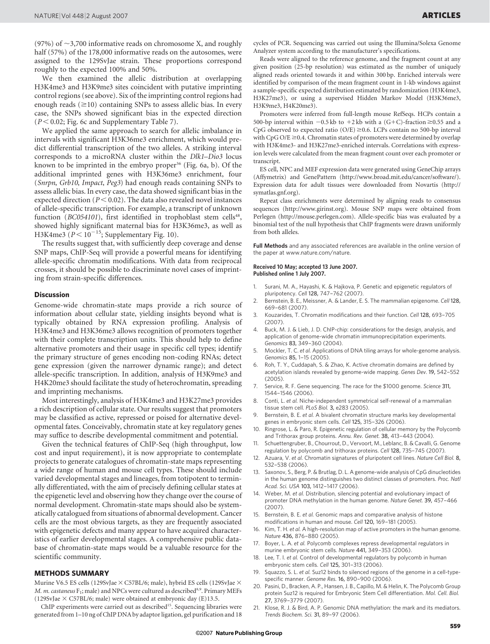(97%) of  $\sim$ 3,700 informative reads on chromosome X, and roughly half (57%) of the 178,000 informative reads on the autosomes, were assigned to the 129SvJae strain. These proportions correspond roughly to the expected 100% and 50%.

We then examined the allelic distribution at overlapping H3K4me3 and H3K9me3 sites coincident with putative imprinting control regions (see above). Six of the imprinting control regions had enough reads  $(\geq 10)$  containing SNPs to assess allelic bias. In every case, the SNPs showed significant bias in the expected direction  $(P < 0.02$ ; Fig. 6c and Supplementary Table 7).

We applied the same approach to search for allelic imbalance in intervals with significant H3K36me3 enrichment, which would predict differential transcription of the two alleles. A striking interval corresponds to a microRNA cluster within the Dlk1–Dio3 locus known to be imprinted in the embryo proper<sup>36</sup> (Fig. 6a, b). Of the additional imprinted genes with H3K36me3 enrichment, four (Snrpn, Grb10, Impact, Peg3) had enough reads containing SNPs to assess allelic bias. In every case, the data showed significant bias in the expected direction ( $P < 0.02$ ). The data also revealed novel instances of allele-specific transcription. For example, a transcript of unknown function ( $BC054101$ ), first identified in trophoblast stem cells<sup>48</sup>, showed highly significant maternal bias for H3K36me3, as well as H3K4me3 ( $P < 10^{-15}$ ; Supplementary Fig. 10).

The results suggest that, with sufficiently deep coverage and dense SNP maps, ChIP-Seq will provide a powerful means for identifying allele-specific chromatin modifications. With data from reciprocal crosses, it should be possible to discriminate novel cases of imprinting from strain-specific differences.

#### **Discussion**

Genome-wide chromatin-state maps provide a rich source of information about cellular state, yielding insights beyond what is typically obtained by RNA expression profiling. Analysis of H3K4me3 and H3K36me3 allows recognition of promoters together with their complete transcription units. This should help to define alternative promoters and their usage in specific cell types; identify the primary structure of genes encoding non-coding RNAs; detect gene expression (given the narrower dynamic range); and detect allele-specific transcription. In addition, analysis of H3K9me3 and H4K20me3 should facilitate the study of heterochromatin, spreading and imprinting mechanisms.

Most interestingly, analysis of H3K4me3 and H3K27me3 provides a rich description of cellular state. Our results suggest that promoters may be classified as active, repressed or poised for alternative developmental fates. Conceivably, chromatin state at key regulatory genes may suffice to describe developmental commitment and potential.

Given the technical features of ChIP-Seq (high throughput, low cost and input requirement), it is now appropriate to contemplate projects to generate catalogues of chromatin-state maps representing a wide range of human and mouse cell types. These should include varied developmental stages and lineages, from totipotent to terminally differentiated, with the aim of precisely defining cellular states at the epigenetic level and observing how they change over the course of normal development. Chromatin-state maps should also be systematically catalogued from situations of abnormal development. Cancer cells are the most obvious targets, as they are frequently associated with epigenetic defects and many appear to have acquired characteristics of earlier developmental stages. A comprehensive public database of chromatin-state maps would be a valuable resource for the scientific community.

#### METHODS SUMMARY

Murine V6.5 ES cells (129SvJae  $\times$  C57BL/6; male), hybrid ES cells (129SvJae  $\times$ M. m. castaneus  $F_1$ ; male) and NPCs were cultured as described<sup>8,9</sup>. Primary MEFs (129SvJae  $\times$  C57BL/6; male) were obtained at embryonic day (E)13.5.

ChIP experiments were carried out as described<sup>15</sup>. Sequencing libraries were generated from 1–10 ng of ChIP DNA by adaptor ligation, gel purification and 18 cycles of PCR. Sequencing was carried out using the Illumina/Solexa Genome Analyzer system according to the manufacturer's specifications.

Reads were aligned to the reference genome, and the fragment count at any given position (25-bp resolution) was estimated as the number of uniquely aligned reads oriented towards it and within 300 bp. Enriched intervals were identified by comparison of the mean fragment count in 1-kb windows against a sample-specific expected distribution estimated by randomization (H3K4me3, H3K27me3), or using a supervised Hidden Markov Model (H3K36me3, H3K9me3, H4K20me3).

Promoters were inferred from full-length mouse RefSeqs. HCPs contain a 500-bp interval within  $-0.5$  kb to  $+2$  kb with a (G+C)-fraction  $\geq$ 0.55 and a CpG observed to expected ratio (O/E)  $\geq$ 0.6. LCPs contain no 500-bp interval with  $CpG O/E \geq 0.4$ . Chromatin states of promoters were determined by overlap with H3K4me3- and H3K27me3-enriched intervals. Correlations with expression levels were calculated from the mean fragment count over each promoter or transcript.

ES cell, NPC and MEF expression data were generated using GeneChip arrays (Affymetrix) and GenePattern ([http://www.broad.mit.edu/cancer/software/\)](http://www.broad.mit.edu/cancer/software). Expression data for adult tissues were downloaded from Novartis [\(http://](http://symatlas.gnf.org) [symatlas.gnf.org\)](http://symatlas.gnf.org).

Repeat class enrichments were determined by aligning reads to consensus sequences (<http://www.girinst.org>). Mouse SNP maps were obtained from Perlegen [\(http://mouse.perlegen.com](http://mouse.perlegen.com)). Allele-specific bias was evaluated by a binomial test of the null hypothesis that ChIP fragments were drawn uniformly from both alleles.

Full Methods and any associated references are available in the online version of the paper at<www.nature.com/nature>.

#### Received 10 May; accepted 13 June 2007. Published online 1 July 2007.

- 1. Surani, M. A., Hayashi, K. & Hajkova, P. Genetic and epigenetic regulators of pluripotency. Cell 128, 747–762 (2007).
- 2. Bernstein, B. E., Meissner, A. & Lander, E. S. The mammalian epigenome. Cell 128, 669–681 (2007).
- 3. Kouzarides, T. Chromatin modifications and their function. Cell 128, 693–705 (2007).
- 4. Buck, M. J. & Lieb, J. D. ChIP-chip: considerations for the design, analysis, and application of genome-wide chromatin immunoprecipitation experiments. Genomics 83, 349–360 (2004).
- Mockler, T. C. et al. Applications of DNA tiling arrays for whole-genome analysis. Genomics 85, 1–15 (2005).
- 6. Roh, T. Y., Cuddapah, S. & Zhao, K. Active chromatin domains are defined by acetylation islands revealed by genome-wide mapping. Genes Dev. 19, 542–552 (2005).
- 7. Service, R. F. Gene sequencing. The race for the \$1000 genome. Science 311, 1544–1546 (2006).
- 8. Conti, L. et al. Niche-independent symmetrical self-renewal of a mammalian tissue stem cell. PLoS Biol. 3, e283 (2005).
- 9. Bernstein, B. E. et al. A bivalent chromatin structure marks key developmental genes in embryonic stem cells. Cell 125, 315–326 (2006).
- 10. Ringrose, L. & Paro, R. Epigenetic regulation of cellular memory by the Polycomb and Trithorax group proteins. Annu. Rev. Genet. 38, 413–443 (2004).
- 11. Schuettengruber, B., Chourrout, D., Vervoort, M., Leblanc, B. & Cavalli, G. Genome regulation by polycomb and trithorax proteins. Cell 128, 735–745 (2007).
- 12. Azuara, V. et al. Chromatin signatures of pluripotent cell lines. Nature Cell Biol. 8, 532–538 (2006).
- 13. Saxonov, S., Berg, P. & Brutlag, D. L. A genome-wide analysis of CpG dinucleotides in the human genome distinguishes two distinct classes of promoters. Proc. Natl Acad. Sci. USA 103, 1412–1417 (2006).
- 14. Weber, M. et al. Distribution, silencing potential and evolutionary impact of promoter DNA methylation in the human genome. Nature Genet. 39, 457–466 (2007).
- 15. Bernstein, B. E. et al. Genomic maps and comparative analysis of histone modifications in human and mouse. Cell 120, 169–181 (2005).
- 16. Kim, T. H. et al. A high-resolution map of active promoters in the human genome. Nature 436, 876–880 (2005).
- 17. Boyer, L. A. et al. Polycomb complexes repress developmental regulators in murine embryonic stem cells. Nature 441, 349–353 (2006).
- 18. Lee, T. I. et al. Control of developmental regulators by polycomb in human embryonic stem cells. Cell 125, 301–313 (2006).
- 19. Squazzo, S. L. et al. Suz12 binds to silenced regions of the genome in a cell-typespecific manner. Genome Res. 16, 890–900 (2006).
- 20. Pasini, D., Bracken, A. P., Hansen, J. B., Capillo, M. & Helin, K. The Polycomb Group protein Suz12 is required for Embryonic Stem Cell differentiation. Mol. Cell. Biol. 27, 3769–3779 (2007).
- Klose, R. J. & Bird, A. P. Genomic DNA methylation: the mark and its mediators. Trends Biochem. Sci. 31, 89–97 (2006).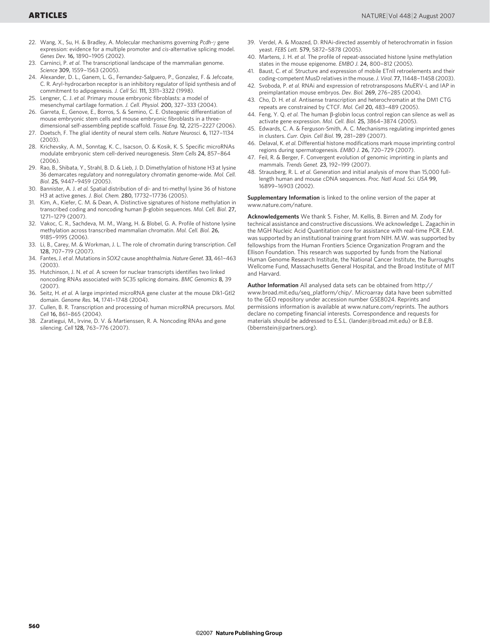- 22. Wang, X., Su, H. & Bradley, A. Molecular mechanisms governing  $Pcdh-\gamma$  gene expression: evidence for a multiple promoter and cis-alternative splicing model. Genes Dev. 16, 1890–1905 (2002).
- 23. Carninci, P. et al. The transcriptional landscape of the mammalian genome. Science 309, 1559–1563 (2005).
- 24. Alexander, D. L., Ganem, L. G., Fernandez-Salguero, P., Gonzalez, F. & Jefcoate, C. R. Aryl-hydrocarbon receptor is an inhibitory regulator of lipid synthesis and of commitment to adipogenesis. J. Cell Sci. 111, 3311–3322 (1998).
- 25. Lengner, C. J. et al. Primary mouse embryonic fibroblasts: a model of mesenchymal cartilage formation. J. Cell. Physiol. 200, 327–333 (2004).
- 26. Garreta, E., Genove, E., Borros, S. & Semino, C. E. Osteogenic differentiation of mouse embryonic stem cells and mouse embryonic fibroblasts in a threedimensional self-assembling peptide scaffold. Tissue Eng. 12, 2215–2227 (2006).
- 27. Doetsch, F. The glial identity of neural stem cells. Nature Neurosci. 6, 1127–1134 (2003).
- 28. Krichevsky, A. M., Sonntag, K. C., Isacson, O. & Kosik, K. S. Specific microRNAs modulate embryonic stem cell-derived neurogenesis. Stem Cells 24, 857–864  $(2006)$
- 29. Rao, B., Shibata, Y., Strahl, B. D. & Lieb, J. D. Dimethylation of histone H3 at lysine 36 demarcates regulatory and nonregulatory chromatin genome-wide. Mol. Cell. Biol. 25, 9447–9459 (2005).
- 30. Bannister, A. J. et al. Spatial distribution of di- and tri-methyl lysine 36 of histone H3 at active genes. J. Biol. Chem. 280, 17732–17736 (2005).
- 31. Kim, A., Kiefer, C. M. & Dean, A. Distinctive signatures of histone methylation in transcribed coding and noncoding human  $\beta$ -globin sequences. Mol. Cell. Biol. 27, 1271–1279 (2007).
- 32. Vakoc, C. R., Sachdeva, M. M., Wang, H. & Blobel, G. A. Profile of histone lysine methylation across transcribed mammalian chromatin. Mol. Cell. Biol. 26, 9185–9195 (2006).
- 33. Li, B., Carey, M. & Workman, J. L. The role of chromatin during transcription. Cell 128, 707–719 (2007).
- 34. Fantes, J. et al. Mutations in SOX2 cause anophthalmia. Nature Genet. 33, 461–463 (2003).
- 35. Hutchinson, J. N. et al. A screen for nuclear transcripts identifies two linked noncoding RNAs associated with SC35 splicing domains. BMC Genomics 8, 39 (2007).
- 36. Seitz, H. et al. A large imprinted microRNA gene cluster at the mouse Dlk1-Gtl2 domain. Genome Res. 14, 1741–1748 (2004).
- 37. Cullen, B. R. Transcription and processing of human microRNA precursors. Mol. Cell 16, 861–865 (2004).
- 38. Zaratiegui, M., Irvine, D. V. & Martienssen, R. A. Noncoding RNAs and gene silencing. Cell 128, 763–776 (2007).
- 39. Verdel, A. & Moazed, D. RNAi-directed assembly of heterochromatin in fission yeast. FEBS Lett. 579, 5872–5878 (2005).
- 40. Martens, J. H. et al. The profile of repeat-associated histone lysine methylation states in the mouse epigenome. EMBO J. 24, 800–812 (2005).
- 41. Baust, C. et al. Structure and expression of mobile ETnII retroelements and their coding-competent MusD relatives in the mouse. J. Virol. 77,11448–11458 (2003).
- 42. Svoboda, P. et al. RNAi and expression of retrotransposons MuERV-L and IAP in preimplantation mouse embryos. Dev. Biol. 269, 276–285 (2004).
- 43. Cho, D. H. et al. Antisense transcription and heterochromatin at the DM1 CTG repeats are constrained by CTCF. Mol. Cell 20, 483–489 (2005).
- 44. Feng, Y. Q. et al. The human  $\beta$ -globin locus control region can silence as well as activate gene expression. Mol. Cell. Biol. 25, 3864–3874 (2005).
- 45. Edwards, C. A. & Ferguson-Smith, A. C. Mechanisms regulating imprinted genes in clusters. Curr. Opin. Cell Biol. 19, 281–289 (2007).
- 46. Delaval, K. et al. Differential histone modifications mark mouse imprinting control regions during spermatogenesis. EMBO J. 26, 720–729 (2007).
- 47. Feil, R. & Berger, F. Convergent evolution of genomic imprinting in plants and mammals. Trends Genet. 23, 192–199 (2007).
- 48. Strausberg, R. L. et al. Generation and initial analysis of more than 15,000 fulllength human and mouse cDNA sequences. Proc. Natl Acad. Sci. USA 99, 16899–16903 (2002).

Supplementary Information is linked to the online version of the paper at <www.nature.com/nature>.

Acknowledgements We thank S. Fisher, M. Kellis, B. Birren and M. Zody for technical assistance and constructive discussions. We acknowledge L. Zagachin in the MGH Nucleic Acid Quantitation core for assistance with real-time PCR. E.M. was supported by an institutional training grant from NIH. M.W. was supported by fellowships from the Human Frontiers Science Organization Program and the Ellison Foundation. This research was supported by funds from the National Human Genome Research Institute, the National Cancer Institute, the Burroughs Wellcome Fund, Massachusetts General Hospital, and the Broad Institute of MIT and Harvard.

Author Information All analysed data sets can be obtained from [http://](http://www.broad.mit.edu/seq_platform/chip) [www.broad.mit.edu/seq\\_platform/chip/.](http://www.broad.mit.edu/seq_platform/chip) Microarray data have been submitted to the GEO repository under accession number GSE8024. Reprints and permissions information is available at [www.nature.com/reprints.](www.nature.com/reprints) The authors declare no competing financial interests. Correspondence and requests for materials should be addressed to E.S.L. [\(lander@broad.mit.edu\)](mailto:lander@broad.mit.edu) or B.E.B. [\(bbernstein@partners.org\)](mailto:bbernstein@partners.org).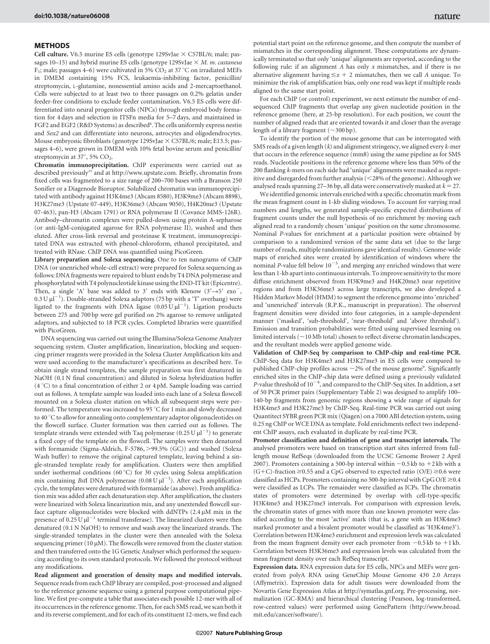#### **METHODS**

Cell culture. V6.5 murine ES cells (genotype 129SvJae  $\times$  C57BL/6; male; passages 10–15) and hybrid murine ES cells (genotype 129SvJae  $\times$  *M. m. castaneus* F<sub>1</sub>; male; passages 4–6) were cultivated in 5% CO<sub>2</sub> at 37 °C on irradiated MEFs in DMEM containing 15% FCS, leukaemia-inhibiting factor, penicillin/ streptomycin, L-glutamine, nonessential amino acids and 2-mercaptoethanol. Cells were subjected to at least two to three passages on 0.2% gelatin under feeder-free conditions to exclude feeder contamination. V6.5 ES cells were differentiated into neural progenitor cells (NPCs) through embryoid body formation for 4 days and selection in ITSFn media for 5–7 days, and maintained in FGF2 and EGF2 (R&D Systems) as described<sup>8</sup>. The cells uniformly express nestin and Sox2 and can differentiate into neurons, astrocytes and oligodendrocytes. Mouse embryonic fibroblasts (genotype 129SvJae  $\times$  C57BL/6; male; E13.5; passages 4–6), were grown in DMEM with 10% fetal bovine serum and penicillin/ streptomycin at  $37^{\circ}$ , 5% CO<sub>2</sub>.

Chromatin immunoprecipitation. ChIP experiments were carried out as described previously<sup>15</sup> and at [http://www.upstate.com.](http://www.upstate.com) Briefly, chromatin from fixed cells was fragmented to a size range of 200–700 bases with a Branson 250 Sonifier or a Diagenode Bioruptor. Solubilized chromatin was immunoprecipitated with antibody against H3K4me3 (Abcam 8580), H3K9me3 (Abcam 8898), H3K27me3 (Upstate 07-449), H3K36me3 (Abcam 9050), H4K20me3 (Upstate 07-463), pan-H3 (Abcam 1791) or RNA polymerase II (Covance MMS-126R). Antibody–chromatin complexes were pulled-down using protein A-sepharose (or anti-IgM-conjugated agarose for RNA polymerase II), washed and then eluted. After cross-link reversal and proteinase K treatment, immunoprecipitated DNA was extracted with phenol-chloroform, ethanol precipitated, and treated with RNase. ChIP DNA was quantified using PicoGreen.

Library preparation and Solexa sequencing. One to ten nanograms of ChIP DNA (or unenriched whole-cell extract) were prepared for Solexa sequencing as follows: DNA fragments were repaired to blunt ends by T4 DNA polymerase and phosphorylated with T4 polynucleotide kinase using the END-IT kit (Epicentre). Then, a single 'A' base was added to 3' ends with Klenow  $(3' \rightarrow 5'$  exo<sup>-</sup>,  $0.3 \text{ U } \mu\text{L}^{-1}$ ). Double-stranded Solexa adaptors (75 bp with a 'T' overhang) were ligated to the fragments with DNA ligase  $(0.05 \text{ U } \mu\text{L}^{-1})$ . Ligation products between 275 and 700 bp were gel purified on 2% agarose to remove unligated adaptors, and subjected to 18 PCR cycles. Completed libraries were quantified with PicoGreen.

DNA sequencing was carried out using the Illumina/Solexa Genome Analyzer sequencing system. Cluster amplification, linearization, blocking and sequencing primer reagents were provided in the Solexa Cluster Amplification kits and were used according to the manufacturer's specifications as described here. To obtain single strand templates, the sample preparation was first denatured in NaOH (0.1 N final concentration) and diluted in Solexa hybridization buffer (4 °C) to a final concentration of either 2 or 4 pM. Sample loading was carried out as follows. A template sample was loaded into each lane of a Solexa flowcell mounted on a Solexa cluster station on which all subsequent steps were performed. The temperature was increased to 95  $\degree$ C for 1 min and slowly decreased to 40 °C to allow for annealing onto complementary adaptor oligonucleotides on the flowcell surface. Cluster formation was then carried out as follows. The template strands were extended with Taq polymerase (0.25 U  $\mu$ l<sup>-1</sup>) to generate a fixed copy of the template on the flowcell. The samples were then denatured with formamide (Sigma-Aldrich, F-5786, >99.5% (GC)) and washed (Solexa Wash buffer) to remove the original captured template, leaving behind a single-stranded template ready for amplification. Clusters were then amplified under isothermal conditions (60 $^{\circ}$ C) for 30 cycles using Solexa amplification mix containing BstI DNA polymerase  $(0.08 \text{ U } \mu\text{L}^{-1})$ . After each amplification cycle, the templates were denatured with formamide (as above). Fresh amplification mix was added after each denaturation step. After amplification, the clusters were linearized with Solexa linearization mix, and any unextended flowcell surface capture oligonucleotides were blocked with ddNTPs  $(2.4 \mu M \text{ mix in the}$ presence of 0.25 U  $\mu$ <sup>-1</sup> terminal transferase). The linearized clusters were then denatured (0.1 N NaOH) to remove and wash away the linearized strands. The single-stranded templates in the cluster were then annealed with the Solexa sequencing primer (10  $\mu$ M). The flowcells were removed from the cluster station and then transferred onto the 1G Genetic Analyser which performed the sequencing according to its own standard protocols. We followed the protocol without any modifications.

Read alignment and generation of density maps and modified intervals. Sequence reads from each ChIP library are compiled, post-processed and aligned to the reference genome sequence using a general purpose computational pipeline. We first pre-compute a table that associates each possible 12-mer with all of its occurrences in the reference genome. Then, for each SMS read, we scan both it and its reverse complement, and for each of its constituent 12-mers, we find each

potential start point on the reference genome, and then compute the number of mismatches in the corresponding alignment. These computations are dynamically terminated so that only 'unique' alignments are reported, according to the following rule: if an alignment  $A$  has only  $x$  mismatches, and if there is no alternative alignment having  $\leq x + 2$  mismatches, then we call A unique. To minimize the risk of amplification bias, only one read was kept if multiple reads aligned to the same start point.

For each ChIP (or control) experiment, we next estimate the number of endsequenced ChIP fragments that overlap any given nucleotide position in the reference genome (here, at 25-bp resolution). For each position, we count the number of aligned reads that are oriented towards it and closer than the average length of a library fragment ( $\sim$ 300 bp).

To identify the portion of the mouse genome that can be interrogated with SMS reads of a given length  $(k)$  and alignment stringency, we aligned every  $k$ -mer that occurs in the reference sequence (mm8) using the same pipeline as for SMS reads. Nucleotide positions in the reference genome where less than 50% of the 200 flanking k-mers on each side had 'unique' alignments were masked as repetitive and disregarded from further analysis  $(<$  28% of the genome). Although we analysed reads spanning 27–36 bp, all data were conservatively masked at  $k = 27$ .

We identified genomic intervals enriched with a specific chromatin mark from the mean fragment count in 1-kb sliding windows. To account for varying read numbers and lengths, we generated sample-specific expected distributions of fragment counts under the null hypothesis of no enrichment by moving each aligned read to a randomly chosen 'unique' position on the same chromosome. Nominal P-values for enrichment at a particular position were obtained by comparison to a randomized version of the same data set (due to the large number of reads, multiple randomizations gave identical results). Genome-wide maps of enriched sites were created by identification of windows where the nominal P-value fell below  $10^{-5}$ , and merging any enriched windows that were less than 1-kb apart into continuous intervals. To improve sensitivity to the more diffuse enrichment observed from H3K9me3 and H4K20me3 near repetitive regions and from H3K36me3 across large transcripts, we also developed a Hidden Markov Model (HMM) to segment the reference genome into 'enriched' and 'unenriched' intervals (R.P.K., manuscript in preparation). The observed fragment densities were divided into four categories, in a sample-dependent manner ('masked', 'sub-threshold', 'near-threshold' and 'above threshold'). Emission and transition probabilities were fitted using supervised learning on limited intervals ( $\sim$ 10 Mb total) chosen to reflect diverse chromatin landscapes, and the resultant models were applied genome wide.

Validation of ChIP-Seq by comparison to ChIP-chip and real-time PCR. ChIP-Seq data for H3K4me3 and H3K27me3 in ES cells were compared to published ChIP-chip profiles across  $\sim$  2% of the mouse genome<sup>9</sup>. Significantly enriched sites in the ChIP-chip data were defined using a previously validated P-value threshold of  $10^{-4}$ , and compared to the ChIP-Seq sites. In addition, a set of 50 PCR primer pairs (Supplementary Table 2) was designed to amplify 100– 140-bp fragments from genomic regions showing a wide range of signals for H3K4me3 and H3K27me3 by ChIP-Seq. Real-time PCR was carried out using Quantitect SYBR green PCR mix (Qiagen) on a 7000 ABI detection system, using 0.25 ng ChIP or WCE DNA as template. Fold enrichments reflect two independent ChIP assays, each evaluated in duplicate by real-time PCR.

Promoter classification and definition of gene and transcript intervals. The analysed promoters were based on transcription start sites inferred from fulllength mouse RefSeqs (downloaded from the UCSC Genome Brower 2 April 2007). Promoters containing a 500-bp interval within  $-0.5$  kb to  $+2$  kb with a  $(G+C)$ -fraction  $\geq$ 0.55 and a CpG observed to expected ratio (O/E)  $\geq$ 0.6 were classified as HCPs. Promoters containing no 500-bp interval with CpG O/E  $\geq$  0.4 were classified as LCPs. The remainder were classified as ICPs. The chromatin states of promoters were determined by overlap with cell-type-specific H3K4me3 and H3K27me3 intervals. For comparison with expression levels, the chromatin states of genes with more than one known promoter were classified according to the most 'active' mark (that is, a gene with an H3K4me3 marked promoter and a bivalent promoter would be classified as 'H3K4me3'). Correlation between H3K4me3 enrichment and expression levels was calculated from the mean fragment density over each promoter from  $-0.5$  kb to  $+1$  kb. Correlation between H3K36me3 and expression levels was calculated from the mean fragment density over each RefSeq transcript.

Expression data. RNA expression data for ES cells, NPCs and MEFs were generated from polyA RNA using GeneChip Mouse Genome 430 2.0 Arrays (Affymetrix). Expression data for adult tissues were downloaded from the Novartis Gene Expression Atlas at [http://symatlas.gnf.org.](http://symatlas.gnf.org) Pre-processing, normalization (GC-RMA) and hierarchical clustering (Pearson, log-transformed, row-centred values) were performed using GenePattern ([http://www.broad.](http://www.broad.mit.edu/cancer/software) [mit.edu/cancer/software/\)](http://www.broad.mit.edu/cancer/software).